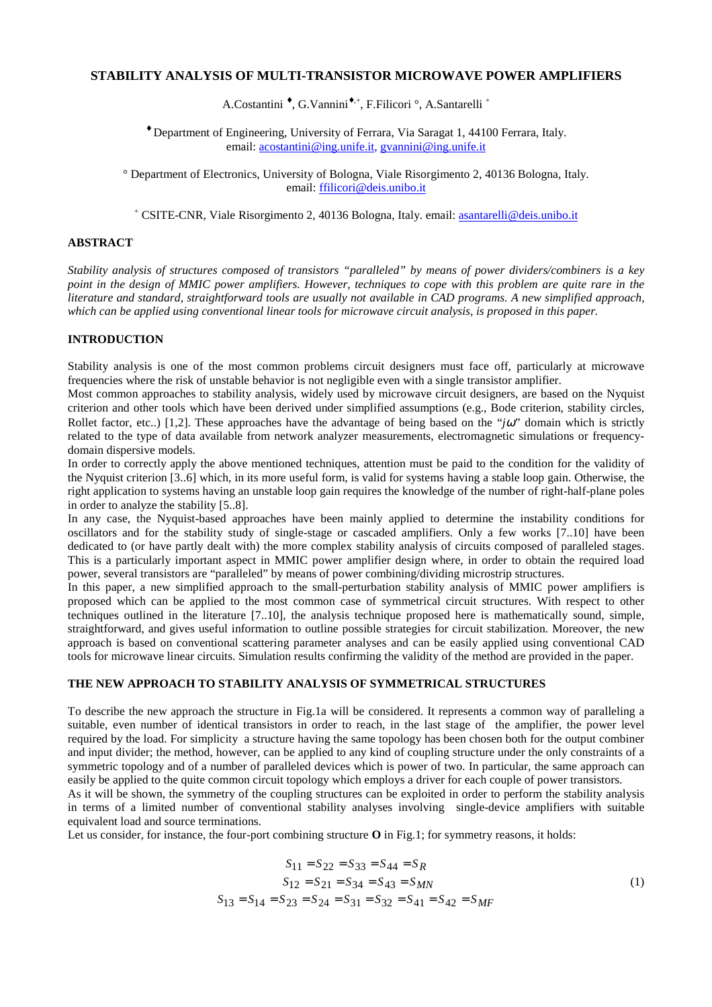# **STABILITY ANALYSIS OF MULTI-TRANSISTOR MICROWAVE POWER AMPLIFIERS**

A.Costantini <sup>\*</sup>, G.Vannini<sup>\*,+</sup>, F.Filicori °, A.Santarelli<sup>+</sup>

♦ Department of Engineering, University of Ferrara, Via Saragat 1, 44100 Ferrara, Italy. email: [acostantini@ing.unife.it,](mailto:acostantini@ing.unife.it) [gvannini@ing.unife.it](mailto:gvannini@ing.unife.it)

° Department of Electronics, University of Bologna, Viale Risorgimento 2, 40136 Bologna, Italy. email: [ffilicori@deis.unibo.it](mailto:ffilicori@deis.unibo.it)

<sup>+</sup> CSITE-CNR, Viale Risorgimento 2, 40136 Bologna, Italy. email: [asantarelli@deis.unibo.it](mailto:asantarelli@deis.unibo.it)

# **ABSTRACT**

*Stability analysis of structures composed of transistors "paralleled" by means of power dividers/combiners is a key point in the design of MMIC power amplifiers. However, techniques to cope with this problem are quite rare in the literature and standard, straightforward tools are usually not available in CAD programs. A new simplified approach, which can be applied using conventional linear tools for microwave circuit analysis, is proposed in this paper.*

### **INTRODUCTION**

Stability analysis is one of the most common problems circuit designers must face off, particularly at microwave frequencies where the risk of unstable behavior is not negligible even with a single transistor amplifier.

Most common approaches to stability analysis, widely used by microwave circuit designers, are based on the Nyquist criterion and other tools which have been derived under simplified assumptions (e.g., Bode criterion, stability circles, Rollet factor, etc..) [1,2]. These approaches have the advantage of being based on the "*j*ω" domain which is strictly related to the type of data available from network analyzer measurements, electromagnetic simulations or frequencydomain dispersive models.

In order to correctly apply the above mentioned techniques, attention must be paid to the condition for the validity of the Nyquist criterion [3..6] which, in its more useful form, is valid for systems having a stable loop gain. Otherwise, the right application to systems having an unstable loop gain requires the knowledge of the number of right-half-plane poles in order to analyze the stability [5..8].

In any case, the Nyquist-based approaches have been mainly applied to determine the instability conditions for oscillators and for the stability study of single-stage or cascaded amplifiers. Only a few works [7..10] have been dedicated to (or have partly dealt with) the more complex stability analysis of circuits composed of paralleled stages. This is a particularly important aspect in MMIC power amplifier design where, in order to obtain the required load power, several transistors are "paralleled" by means of power combining/dividing microstrip structures.

In this paper, a new simplified approach to the small-perturbation stability analysis of MMIC power amplifiers is proposed which can be applied to the most common case of symmetrical circuit structures. With respect to other techniques outlined in the literature [7..10], the analysis technique proposed here is mathematically sound, simple, straightforward, and gives useful information to outline possible strategies for circuit stabilization. Moreover, the new approach is based on conventional scattering parameter analyses and can be easily applied using conventional CAD tools for microwave linear circuits. Simulation results confirming the validity of the method are provided in the paper.

### **THE NEW APPROACH TO STABILITY ANALYSIS OF SYMMETRICAL STRUCTURES**

To describe the new approach the structure in Fig.1a will be considered. It represents a common way of paralleling a suitable, even number of identical transistors in order to reach, in the last stage of the amplifier, the power level required by the load. For simplicity a structure having the same topology has been chosen both for the output combiner and input divider; the method, however, can be applied to any kind of coupling structure under the only constraints of a symmetric topology and of a number of paralleled devices which is power of two. In particular, the same approach can easily be applied to the quite common circuit topology which employs a driver for each couple of power transistors.

As it will be shown, the symmetry of the coupling structures can be exploited in order to perform the stability analysis in terms of a limited number of conventional stability analyses involving single-device amplifiers with suitable equivalent load and source terminations.

Let us consider, for instance, the four-port combining structure **O** in Fig.1; for symmetry reasons, it holds:

$$
S_{11} = S_{22} = S_{33} = S_{44} = S_R
$$
  
\n
$$
S_{12} = S_{21} = S_{34} = S_{43} = S_{MN}
$$
  
\n
$$
S_{13} = S_{14} = S_{23} = S_{24} = S_{31} = S_{32} = S_{41} = S_{42} = S_{MF}
$$
  
\n(1)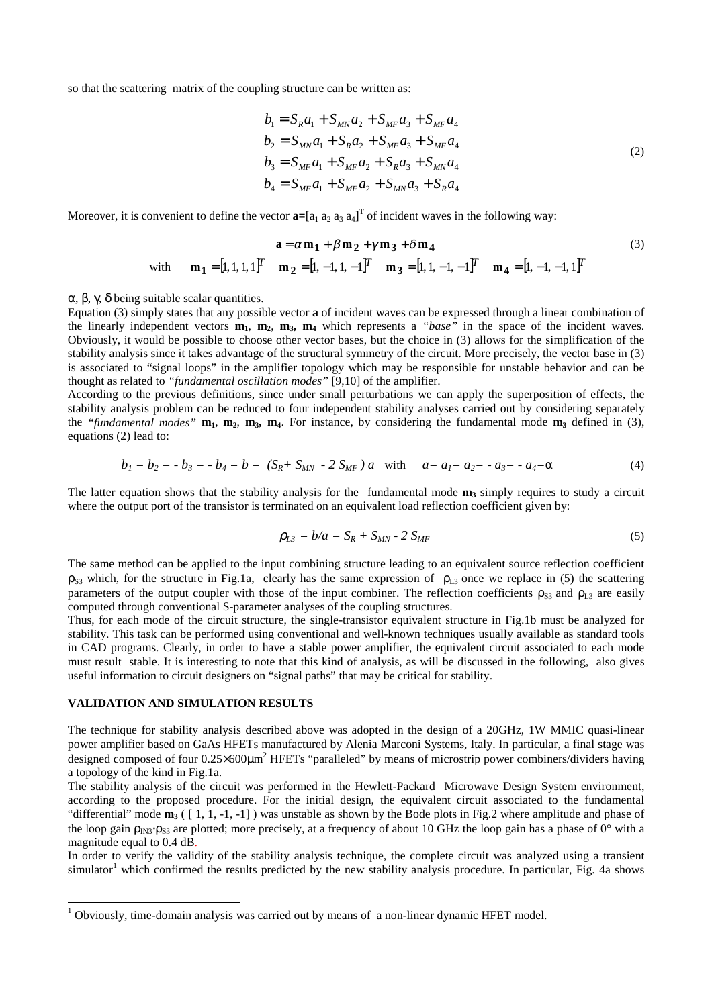so that the scattering matrix of the coupling structure can be written as:

$$
b_1 = S_R a_1 + S_{MN} a_2 + S_{MF} a_3 + S_{MF} a_4
$$
  
\n
$$
b_2 = S_{MN} a_1 + S_R a_2 + S_{MF} a_3 + S_{MF} a_4
$$
  
\n
$$
b_3 = S_{MF} a_1 + S_{MF} a_2 + S_R a_3 + S_{MN} a_4
$$
  
\n
$$
b_4 = S_{MF} a_1 + S_{MF} a_2 + S_{MN} a_3 + S_R a_4
$$
\n(2)

Moreover, it is convenient to define the vector  $\mathbf{a} = [a_1 \ a_2 \ a_3 \ a_4]^T$  of incident waves in the following way:

$$
\mathbf{a} = \alpha \mathbf{m_1} + \beta \mathbf{m_2} + \gamma \mathbf{m_3} + \delta \mathbf{m_4}
$$
\n
$$
\text{with} \qquad \mathbf{m_1} = [1, 1, 1, 1]^T \qquad \mathbf{m_2} = [1, -1, 1, -1]^T \qquad \mathbf{m_3} = [1, 1, -1, -1]^T \qquad \mathbf{m_4} = [1, -1, -1, 1]^T
$$
\n
$$
(3)
$$

α, β, γ, δ being suitable scalar quantities.

Equation (3) simply states that any possible vector **a** of incident waves can be expressed through a linear combination of the linearly independent vectors  $\mathbf{m}_1$ ,  $\mathbf{m}_2$ ,  $\mathbf{m}_3$ ,  $\mathbf{m}_4$  which represents a *"base"* in the space of the incident waves. Obviously, it would be possible to choose other vector bases, but the choice in (3) allows for the simplification of the stability analysis since it takes advantage of the structural symmetry of the circuit. More precisely, the vector base in (3) is associated to "signal loops" in the amplifier topology which may be responsible for unstable behavior and can be thought as related to *"fundamental oscillation modes"* [9,10] of the amplifier.

According to the previous definitions, since under small perturbations we can apply the superposition of effects, the stability analysis problem can be reduced to four independent stability analyses carried out by considering separately the "fundamental modes"  $m_1$ ,  $m_2$ ,  $m_3$ ,  $m_4$ . For instance, by considering the fundamental mode  $m_3$  defined in (3), equations (2) lead to:

$$
b_1 = b_2 = -b_3 = -b_4 = b = (S_R + S_{MN} - 2 S_{MF})a \text{ with } a = a_1 = a_2 = -a_3 = -a_4 = \alpha \tag{4}
$$

The latter equation shows that the stability analysis for the fundamental mode  $m_3$  simply requires to study a circuit where the output port of the transistor is terminated on an equivalent load reflection coefficient given by:

$$
\rho_{L3} = b/a = S_R + S_{MN} - 2 S_{MF} \tag{5}
$$

The same method can be applied to the input combining structure leading to an equivalent source reflection coefficient  $\rho_{S3}$  which, for the structure in Fig.1a, clearly has the same expression of  $\rho_{L3}$  once we replace in (5) the scattering parameters of the output coupler with those of the input combiner. The reflection coefficients  $\rho_{S3}$  and  $\rho_{L3}$  are easily computed through conventional S-parameter analyses of the coupling structures.

Thus, for each mode of the circuit structure, the single-transistor equivalent structure in Fig.1b must be analyzed for stability. This task can be performed using conventional and well-known techniques usually available as standard tools in CAD programs. Clearly, in order to have a stable power amplifier, the equivalent circuit associated to each mode must result stable. It is interesting to note that this kind of analysis, as will be discussed in the following, also gives useful information to circuit designers on "signal paths" that may be critical for stability.

#### **VALIDATION AND SIMULATION RESULTS**

 $\overline{a}$ 

The technique for stability analysis described above was adopted in the design of a 20GHz, 1W MMIC quasi-linear power amplifier based on GaAs HFETs manufactured by Alenia Marconi Systems, Italy. In particular, a final stage was designed composed of four  $0.25\times600\mu m^2$  HFETs "paralleled" by means of microstrip power combiners/dividers having a topology of the kind in Fig.1a.

The stability analysis of the circuit was performed in the Hewlett-Packard Microwave Design System environment, according to the proposed procedure. For the initial design, the equivalent circuit associated to the fundamental "differential" mode  $m_3$  ([1, 1, -1, -1]) was unstable as shown by the Bode plots in Fig.2 where amplitude and phase of the loop gain  $\rho_{\text{IN3}} \cdot \rho_{\text{S3}}$  are plotted; more precisely, at a frequency of about 10 GHz the loop gain has a phase of 0° with a magnitude equal to 0.4 dB.

In order to verify the validity of the stability analysis technique, the complete circuit was analyzed using a transient simulator<sup>1</sup> which confirmed the results predicted by the new stability analysis procedure. In particular, Fig. 4a shows

 $1$  Obviously, time-domain analysis was carried out by means of a non-linear dynamic HFET model.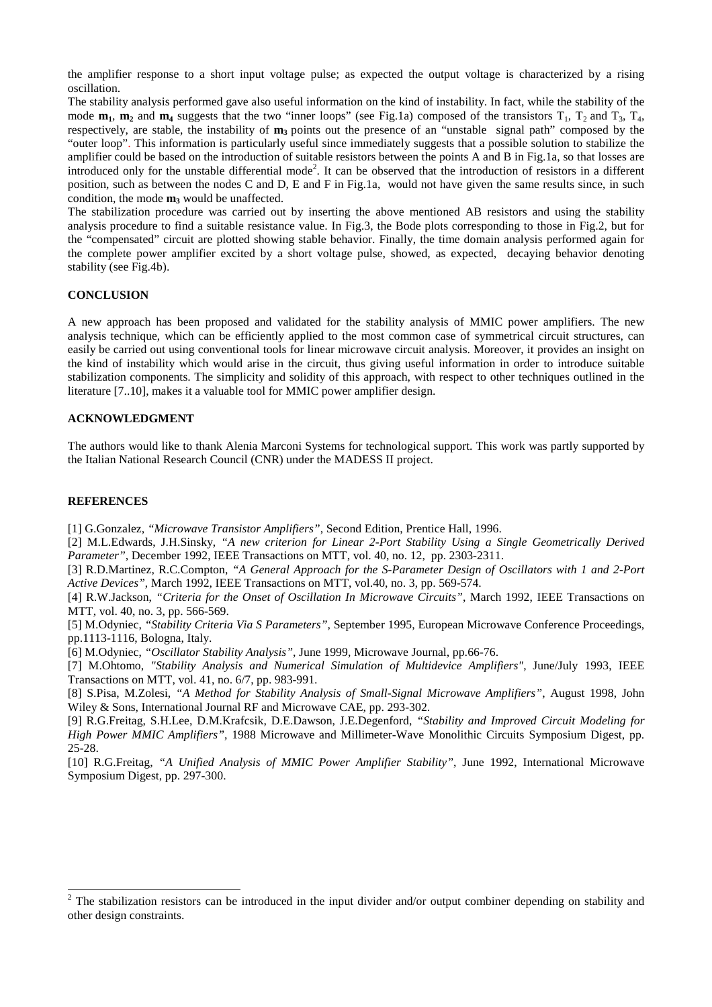the amplifier response to a short input voltage pulse; as expected the output voltage is characterized by a rising oscillation.

The stability analysis performed gave also useful information on the kind of instability. In fact, while the stability of the mode  $m_1$ ,  $m_2$  and  $m_4$  suggests that the two "inner loops" (see Fig.1a) composed of the transistors  $T_1$ ,  $T_2$  and  $T_3$ ,  $T_4$ , respectively, are stable, the instability of **m**<sub>3</sub> points out the presence of an "unstable signal path" composed by the "outer loop". This information is particularly useful since immediately suggests that a possible solution to stabilize the amplifier could be based on the introduction of suitable resistors between the points A and B in Fig.1a, so that losses are introduced only for the unstable differential mode<sup>2</sup>. It can be observed that the introduction of resistors in a different position, such as between the nodes C and D, E and F in Fig.1a, would not have given the same results since, in such condition, the mode  $m_3$  would be unaffected.

The stabilization procedure was carried out by inserting the above mentioned AB resistors and using the stability analysis procedure to find a suitable resistance value. In Fig.3, the Bode plots corresponding to those in Fig.2, but for the "compensated" circuit are plotted showing stable behavior. Finally, the time domain analysis performed again for the complete power amplifier excited by a short voltage pulse, showed, as expected, decaying behavior denoting stability (see Fig.4b).

## **CONCLUSION**

A new approach has been proposed and validated for the stability analysis of MMIC power amplifiers. The new analysis technique, which can be efficiently applied to the most common case of symmetrical circuit structures, can easily be carried out using conventional tools for linear microwave circuit analysis. Moreover, it provides an insight on the kind of instability which would arise in the circuit, thus giving useful information in order to introduce suitable stabilization components. The simplicity and solidity of this approach, with respect to other techniques outlined in the literature [7..10], makes it a valuable tool for MMIC power amplifier design.

## **ACKNOWLEDGMENT**

The authors would like to thank Alenia Marconi Systems for technological support. This work was partly supported by the Italian National Research Council (CNR) under the MADESS II project.

### **REFERENCES**

 $\overline{a}$ 

[1] G.Gonzalez, *"Microwave Transistor Amplifiers"*, Second Edition, Prentice Hall, 1996.

[2] M.L.Edwards, J.H.Sinsky, *"A new criterion for Linear 2-Port Stability Using a Single Geometrically Derived Parameter"*, December 1992, IEEE Transactions on MTT, vol. 40, no. 12, pp. 2303-2311.

[3] R.D.Martinez, R.C.Compton, *"A General Approach for the S-Parameter Design of Oscillators with 1 and 2-Port Active Devices"*, March 1992, IEEE Transactions on MTT, vol.40, no. 3, pp. 569-574.

[4] R.W.Jackson, *"Criteria for the Onset of Oscillation In Microwave Circuits"*, March 1992, IEEE Transactions on MTT, vol. 40, no. 3, pp. 566-569.

[5] M.Odyniec, *"Stability Criteria Via S Parameters"*, September 1995, European Microwave Conference Proceedings, pp.1113-1116, Bologna, Italy.

[6] M.Odyniec, *"Oscillator Stability Analysis"*, June 1999, Microwave Journal, pp.66-76.

[7] M.Ohtomo, *"Stability Analysis and Numerical Simulation of Multidevice Amplifiers"*, June/July 1993, IEEE Transactions on MTT, vol. 41, no. 6/7, pp. 983-991.

[8] S.Pisa, M.Zolesi, *"A Method for Stability Analysis of Small-Signal Microwave Amplifiers"*, August 1998, John Wiley & Sons, International Journal RF and Microwave CAE, pp. 293-302.

[9] R.G.Freitag, S.H.Lee, D.M.Krafcsik, D.E.Dawson, J.E.Degenford, *"Stability and Improved Circuit Modeling for High Power MMIC Amplifiers"*, 1988 Microwave and Millimeter-Wave Monolithic Circuits Symposium Digest, pp. 25-28.

[10] R.G.Freitag, *"A Unified Analysis of MMIC Power Amplifier Stability"*, June 1992, International Microwave Symposium Digest, pp. 297-300.

 $2$  The stabilization resistors can be introduced in the input divider and/or output combiner depending on stability and other design constraints.